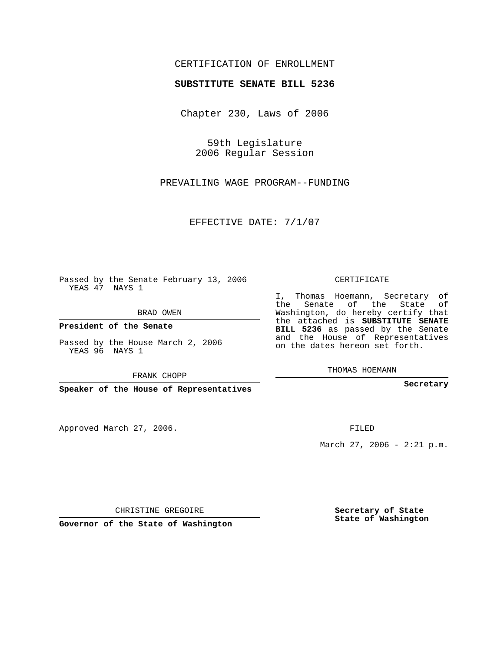## CERTIFICATION OF ENROLLMENT

## **SUBSTITUTE SENATE BILL 5236**

Chapter 230, Laws of 2006

59th Legislature 2006 Regular Session

PREVAILING WAGE PROGRAM--FUNDING

EFFECTIVE DATE: 7/1/07

Passed by the Senate February 13, 2006 YEAS 47 NAYS 1

BRAD OWEN

**President of the Senate**

Passed by the House March 2, 2006 YEAS 96 NAYS 1

FRANK CHOPP

**Speaker of the House of Representatives**

Approved March 27, 2006.

CERTIFICATE

I, Thomas Hoemann, Secretary of the Senate of the State of Washington, do hereby certify that the attached is **SUBSTITUTE SENATE BILL 5236** as passed by the Senate and the House of Representatives on the dates hereon set forth.

THOMAS HOEMANN

**Secretary**

FILED

March 27, 2006 -  $2:21$  p.m.

CHRISTINE GREGOIRE

**Governor of the State of Washington**

**Secretary of State State of Washington**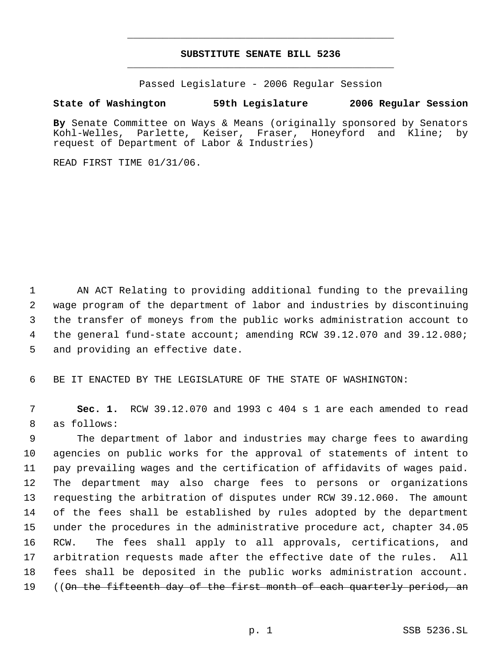## **SUBSTITUTE SENATE BILL 5236** \_\_\_\_\_\_\_\_\_\_\_\_\_\_\_\_\_\_\_\_\_\_\_\_\_\_\_\_\_\_\_\_\_\_\_\_\_\_\_\_\_\_\_\_\_

\_\_\_\_\_\_\_\_\_\_\_\_\_\_\_\_\_\_\_\_\_\_\_\_\_\_\_\_\_\_\_\_\_\_\_\_\_\_\_\_\_\_\_\_\_

Passed Legislature - 2006 Regular Session

## **State of Washington 59th Legislature 2006 Regular Session**

**By** Senate Committee on Ways & Means (originally sponsored by Senators Kohl-Welles, Parlette, Keiser, Fraser, Honeyford and Kline; by request of Department of Labor & Industries)

READ FIRST TIME 01/31/06.

 AN ACT Relating to providing additional funding to the prevailing wage program of the department of labor and industries by discontinuing the transfer of moneys from the public works administration account to the general fund-state account; amending RCW 39.12.070 and 39.12.080; and providing an effective date.

BE IT ENACTED BY THE LEGISLATURE OF THE STATE OF WASHINGTON:

 **Sec. 1.** RCW 39.12.070 and 1993 c 404 s 1 are each amended to read as follows:

 The department of labor and industries may charge fees to awarding agencies on public works for the approval of statements of intent to pay prevailing wages and the certification of affidavits of wages paid. The department may also charge fees to persons or organizations requesting the arbitration of disputes under RCW 39.12.060. The amount of the fees shall be established by rules adopted by the department under the procedures in the administrative procedure act, chapter 34.05 RCW. The fees shall apply to all approvals, certifications, and arbitration requests made after the effective date of the rules. All fees shall be deposited in the public works administration account. 19 ((On the fifteenth day of the first month of each quarterly period, an